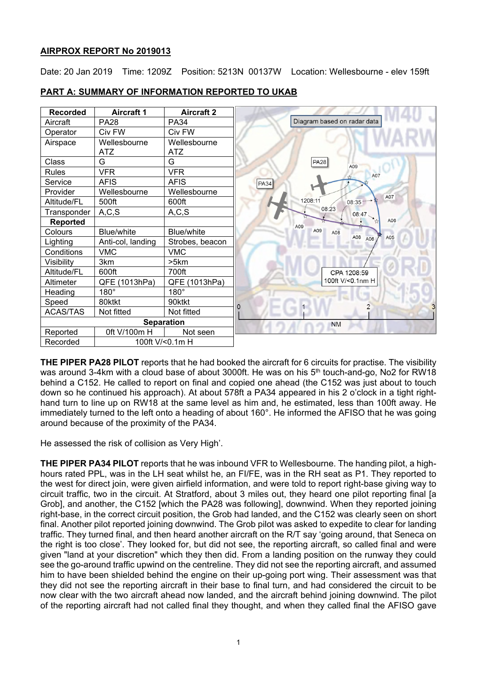# **AIRPROX REPORT No 2019013**

Date: 20 Jan 2019 Time: 1209Z Position: 5213N 00137W Location: Wellesbourne - elev 159ft

| <b>Recorded</b>   | <b>Aircraft 1</b> | <b>Aircraft 2</b> |                             |
|-------------------|-------------------|-------------------|-----------------------------|
| Aircraft          | <b>PA28</b>       | <b>PA34</b>       | Diagram based on radar data |
| Operator          | Civ FW            | Civ FW            |                             |
| Airspace          | Wellesbourne      | Wellesbourne      |                             |
|                   | <b>ATZ</b>        | <b>ATZ</b>        |                             |
| <b>Class</b>      | G                 | G                 | PA28<br>A09                 |
| Rules             | <b>VFR</b>        | <b>VFR</b>        | A07                         |
| Service           | <b>AFIS</b>       | <b>AFIS</b>       | PA34                        |
| Provider          | Wellesbourne      | Wellesbourne      | A07                         |
| Altitude/FL       | 500ft             | 600ft             | 1208:11<br>08:35 **         |
| Transponder       | A, C, S           | A, C, S           | 08:23<br>08:47              |
| <b>Reported</b>   |                   |                   | A06<br>A09                  |
| Colours           | Blue/white        | Blue/white        | A09<br>A08<br>A08           |
| Lighting          | Anti-col, landing | Strobes, beacon   | A05<br>A06                  |
| Conditions        | <b>VMC</b>        | <b>VMC</b>        |                             |
| Visibility        | 3km               | >5km              |                             |
| Altitude/FL       | 600ft             | 700ft             | CPA 1208:59                 |
| Altimeter         | QFE (1013hPa)     | QFE (1013hPa)     | 100ft V/<0.1nm H            |
| Heading           | $180^\circ$       | $180^\circ$       |                             |
| Speed             | 80ktkt            | 90ktkt            | $\Omega$                    |
| <b>ACAS/TAS</b>   | Not fitted        | Not fitted        |                             |
| <b>Separation</b> |                   |                   | <b>NM</b>                   |
| Reported          | 0ft V/100m H      | Not seen          |                             |
| Recorded          | 100ft V/<0.1m H   |                   |                             |

## **PART A: SUMMARY OF INFORMATION REPORTED TO UKAB**

**THE PIPER PA28 PILOT** reports that he had booked the aircraft for 6 circuits for practise. The visibility was around 3-4km with a cloud base of about 3000ft. He was on his 5<sup>th</sup> touch-and-go, No2 for RW18 behind a C152. He called to report on final and copied one ahead (the C152 was just about to touch down so he continued his approach). At about 578ft a PA34 appeared in his 2 o'clock in a tight righthand turn to line up on RW18 at the same level as him and, he estimated, less than 100ft away. He immediately turned to the left onto a heading of about 160°. He informed the AFISO that he was going around because of the proximity of the PA34.

He assessed the risk of collision as Very High'.

**THE PIPER PA34 PILOT** reports that he was inbound VFR to Wellesbourne. The handing pilot, a highhours rated PPL, was in the LH seat whilst he, an FI/FE, was in the RH seat as P1. They reported to the west for direct join, were given airfield information, and were told to report right-base giving way to circuit traffic, two in the circuit. At Stratford, about 3 miles out, they heard one pilot reporting final [a Grob], and another, the C152 [which the PA28 was following], downwind. When they reported joining right-base, in the correct circuit position, the Grob had landed, and the C152 was clearly seen on short final. Another pilot reported joining downwind. The Grob pilot was asked to expedite to clear for landing traffic. They turned final, and then heard another aircraft on the R/T say 'going around, that Seneca on the right is too close'. They looked for, but did not see, the reporting aircraft, so called final and were given "land at your discretion" which they then did. From a landing position on the runway they could see the go-around traffic upwind on the centreline. They did not see the reporting aircraft, and assumed him to have been shielded behind the engine on their up-going port wing. Their assessment was that they did not see the reporting aircraft in their base to final turn, and had considered the circuit to be now clear with the two aircraft ahead now landed, and the aircraft behind joining downwind. The pilot of the reporting aircraft had not called final they thought, and when they called final the AFISO gave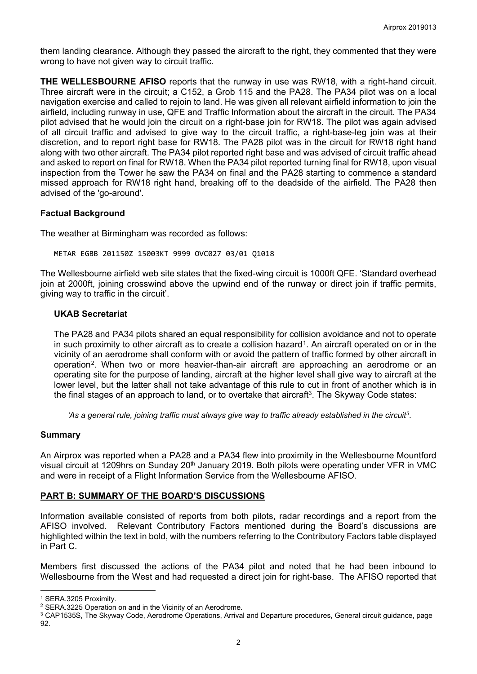them landing clearance. Although they passed the aircraft to the right, they commented that they were wrong to have not given way to circuit traffic.

**THE WELLESBOURNE AFISO** reports that the runway in use was RW18, with a right-hand circuit. Three aircraft were in the circuit; a C152, a Grob 115 and the PA28. The PA34 pilot was on a local navigation exercise and called to rejoin to land. He was given all relevant airfield information to join the airfield, including runway in use, QFE and Traffic Information about the aircraft in the circuit. The PA34 pilot advised that he would join the circuit on a right-base join for RW18. The pilot was again advised of all circuit traffic and advised to give way to the circuit traffic, a right-base-leg join was at their discretion, and to report right base for RW18. The PA28 pilot was in the circuit for RW18 right hand along with two other aircraft. The PA34 pilot reported right base and was advised of circuit traffic ahead and asked to report on final for RW18. When the PA34 pilot reported turning final for RW18, upon visual inspection from the Tower he saw the PA34 on final and the PA28 starting to commence a standard missed approach for RW18 right hand, breaking off to the deadside of the airfield. The PA28 then advised of the 'go-around'.

# **Factual Background**

The weather at Birmingham was recorded as follows:

METAR EGBB 201150Z 15003KT 9999 OVC027 03/01 Q1018

The Wellesbourne airfield web site states that the fixed-wing circuit is 1000ft QFE. 'Standard overhead join at 2000ft, joining crosswind above the upwind end of the runway or direct join if traffic permits, giving way to traffic in the circuit'.

## **UKAB Secretariat**

The PA28 and PA34 pilots shared an equal responsibility for collision avoidance and not to operate in such proximity to other aircraft as to create a collision hazard<sup>[1](#page-1-0)</sup>. An aircraft operated on or in the vicinity of an aerodrome shall conform with or avoid the pattern of traffic formed by other aircraft in operation[2.](#page-1-1) When two or more heavier-than-air aircraft are approaching an aerodrome or an operating site for the purpose of landing, aircraft at the higher level shall give way to aircraft at the lower level, but the latter shall not take advantage of this rule to cut in front of another which is in the final stages of an approach to land, or to overtake that aircraft<sup>3</sup>. The Skyway Code states:

*'As a general rule, joining traffic must always give way to traffic already established in the circuit[3.](#page-1-2)*

## **Summary**

An Airprox was reported when a PA28 and a PA34 flew into proximity in the Wellesbourne Mountford visual circuit at 1209hrs on Sunday 20th January 2019. Both pilots were operating under VFR in VMC and were in receipt of a Flight Information Service from the Wellesbourne AFISO.

## **PART B: SUMMARY OF THE BOARD'S DISCUSSIONS**

Information available consisted of reports from both pilots, radar recordings and a report from the AFISO involved. Relevant Contributory Factors mentioned during the Board's discussions are highlighted within the text in bold, with the numbers referring to the Contributory Factors table displayed in Part C.

Members first discussed the actions of the PA34 pilot and noted that he had been inbound to Wellesbourne from the West and had requested a direct join for right-base. The AFISO reported that

 $\overline{a}$ <sup>1</sup> SERA.3205 Proximity.

<span id="page-1-1"></span><span id="page-1-0"></span><sup>2</sup> SERA.3225 Operation on and in the Vicinity of an Aerodrome.

<span id="page-1-2"></span><sup>3</sup> CAP1535S, The Skyway Code, Aerodrome Operations, Arrival and Departure procedures, General circuit guidance, page 92.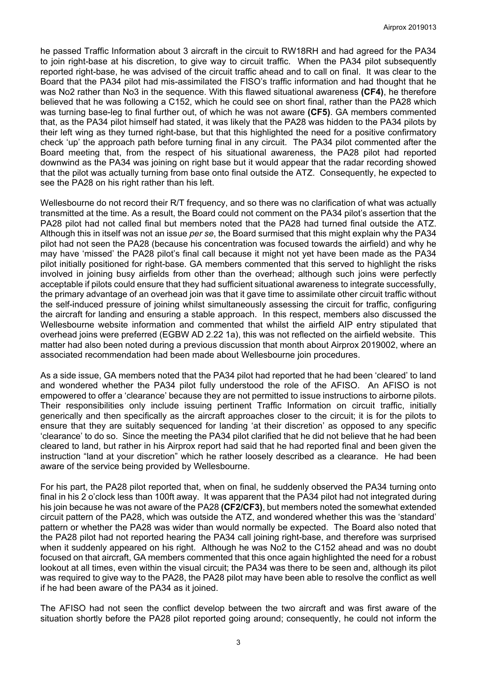he passed Traffic Information about 3 aircraft in the circuit to RW18RH and had agreed for the PA34 to join right-base at his discretion, to give way to circuit traffic. When the PA34 pilot subsequently reported right-base, he was advised of the circuit traffic ahead and to call on final. It was clear to the Board that the PA34 pilot had mis-assimilated the FISO's traffic information and had thought that he was No2 rather than No3 in the sequence. With this flawed situational awareness **(CF4)**, he therefore believed that he was following a C152, which he could see on short final, rather than the PA28 which was turning base-leg to final further out, of which he was not aware **(CF5)**. GA members commented that, as the PA34 pilot himself had stated, it was likely that the PA28 was hidden to the PA34 pilots by their left wing as they turned right-base, but that this highlighted the need for a positive confirmatory check 'up' the approach path before turning final in any circuit. The PA34 pilot commented after the Board meeting that, from the respect of his situational awareness, the PA28 pilot had reported downwind as the PA34 was joining on right base but it would appear that the radar recording showed that the pilot was actually turning from base onto final outside the ATZ. Consequently, he expected to see the PA28 on his right rather than his left.

Wellesbourne do not record their R/T frequency, and so there was no clarification of what was actually transmitted at the time. As a result, the Board could not comment on the PA34 pilot's assertion that the PA28 pilot had not called final but members noted that the PA28 had turned final outside the ATZ. Although this in itself was not an issue *per se*, the Board surmised that this might explain why the PA34 pilot had not seen the PA28 (because his concentration was focused towards the airfield) and why he may have 'missed' the PA28 pilot's final call because it might not yet have been made as the PA34 pilot initially positioned for right-base. GA members commented that this served to highlight the risks involved in joining busy airfields from other than the overhead; although such joins were perfectly acceptable if pilots could ensure that they had sufficient situational awareness to integrate successfully, the primary advantage of an overhead join was that it gave time to assimilate other circuit traffic without the self-induced pressure of joining whilst simultaneously assessing the circuit for traffic, configuring the aircraft for landing and ensuring a stable approach. In this respect, members also discussed the Wellesbourne website information and commented that whilst the airfield AIP entry stipulated that overhead joins were preferred (EGBW AD 2.22 1a), this was not reflected on the airfield website. This matter had also been noted during a previous discussion that month about Airprox 2019002, where an associated recommendation had been made about Wellesbourne join procedures.

As a side issue, GA members noted that the PA34 pilot had reported that he had been 'cleared' to land and wondered whether the PA34 pilot fully understood the role of the AFISO. An AFISO is not empowered to offer a 'clearance' because they are not permitted to issue instructions to airborne pilots. Their responsibilities only include issuing pertinent Traffic Information on circuit traffic, initially generically and then specifically as the aircraft approaches closer to the circuit; it is for the pilots to ensure that they are suitably sequenced for landing 'at their discretion' as opposed to any specific 'clearance' to do so. Since the meeting the PA34 pilot clarified that he did not believe that he had been cleared to land, but rather in his Airprox report had said that he had reported final and been given the instruction "land at your discretion" which he rather loosely described as a clearance. He had been aware of the service being provided by Wellesbourne.

For his part, the PA28 pilot reported that, when on final, he suddenly observed the PA34 turning onto final in his 2 o'clock less than 100ft away. It was apparent that the PA34 pilot had not integrated during his join because he was not aware of the PA28 **(CF2/CF3)**, but members noted the somewhat extended circuit pattern of the PA28, which was outside the ATZ, and wondered whether this was the 'standard' pattern or whether the PA28 was wider than would normally be expected. The Board also noted that the PA28 pilot had not reported hearing the PA34 call joining right-base, and therefore was surprised when it suddenly appeared on his right. Although he was No2 to the C152 ahead and was no doubt focused on that aircraft, GA members commented that this once again highlighted the need for a robust lookout at all times, even within the visual circuit; the PA34 was there to be seen and, although its pilot was required to give way to the PA28, the PA28 pilot may have been able to resolve the conflict as well if he had been aware of the PA34 as it joined.

The AFISO had not seen the conflict develop between the two aircraft and was first aware of the situation shortly before the PA28 pilot reported going around; consequently, he could not inform the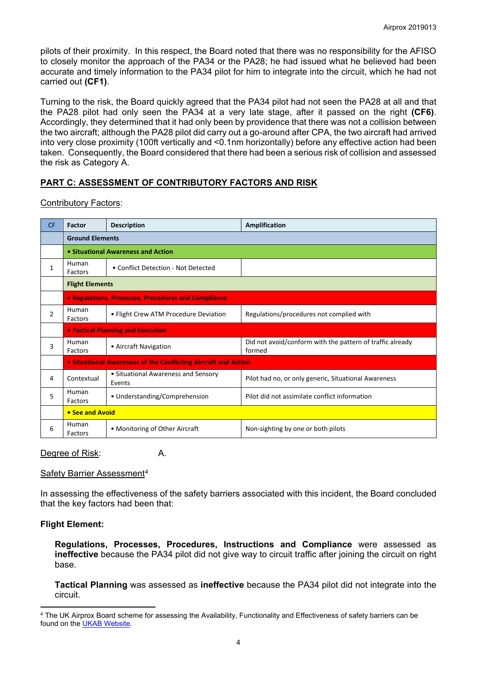pilots of their proximity. In this respect, the Board noted that there was no responsibility for the AFISO to closely monitor the approach of the PA34 or the PA28; he had issued what he believed had been accurate and timely information to the PA34 pilot for him to integrate into the circuit, which he had not carried out **(CF1)**.

Turning to the risk, the Board quickly agreed that the PA34 pilot had not seen the PA28 at all and that the PA28 pilot had only seen the PA34 at a very late stage, after it passed on the right **(CF6)**. Accordingly, they determined that it had only been by providence that there was not a collision between the two aircraft; although the PA28 pilot did carry out a go-around after CPA, the two aircraft had arrived into very close proximity (100ft vertically and <0.1nm horizontally) before any effective action had been taken. Consequently, the Board considered that there had been a serious risk of collision and assessed the risk as Category A.

# **PART C: ASSESSMENT OF CONTRIBUTORY FACTORS AND RISK**

## Contributory Factors:

| <b>CF</b>      | Factor                                                         | <b>Description</b>                            | Amplification                                                       |  |  |
|----------------|----------------------------------------------------------------|-----------------------------------------------|---------------------------------------------------------------------|--|--|
|                | <b>Ground Elements</b>                                         |                                               |                                                                     |  |  |
|                | • Situational Awareness and Action                             |                                               |                                                                     |  |  |
| $\mathbf{1}$   | Human<br>Factors                                               | • Conflict Detection - Not Detected           |                                                                     |  |  |
|                | <b>Flight Elements</b>                                         |                                               |                                                                     |  |  |
|                | • Regulations, Processes, Procedures and Compliance            |                                               |                                                                     |  |  |
| $\overline{2}$ | Human<br>Factors                                               | • Flight Crew ATM Procedure Deviation         | Regulations/procedures not complied with                            |  |  |
|                | <b>• Tactical Planning and Execution</b>                       |                                               |                                                                     |  |  |
| 3              | Human<br>Factors                                               | • Aircraft Navigation                         | Did not avoid/conform with the pattern of traffic already<br>formed |  |  |
|                | • Situational Awareness of the Conflicting Aircraft and Action |                                               |                                                                     |  |  |
| 4              | Contextual                                                     | • Situational Awareness and Sensory<br>Events | Pilot had no, or only generic, Situational Awareness                |  |  |
| 5              | Human<br>Factors                                               | • Understanding/Comprehension                 | Pilot did not assimilate conflict information                       |  |  |
|                | • See and Avoid                                                |                                               |                                                                     |  |  |
| 6              | Human<br>Factors                                               | • Monitoring of Other Aircraft                | Non-sighting by one or both pilots                                  |  |  |

Degree of Risk: A.

## Safety Barrier Assessment<sup>[4](#page-3-0)</sup>

In assessing the effectiveness of the safety barriers associated with this incident, the Board concluded that the key factors had been that:

# **Flight Element:**

 $\overline{a}$ 

**Regulations, Processes, Procedures, Instructions and Compliance** were assessed as **ineffective** because the PA34 pilot did not give way to circuit traffic after joining the circuit on right base.

**Tactical Planning** was assessed as **ineffective** because the PA34 pilot did not integrate into the circuit.

<span id="page-3-0"></span><sup>4</sup> The UK Airprox Board scheme for assessing the Availability, Functionality and Effectiveness of safety barriers can be found on the [UKAB Website.](http://www.airproxboard.org.uk/Learn-more/Airprox-Barrier-Assessment/)